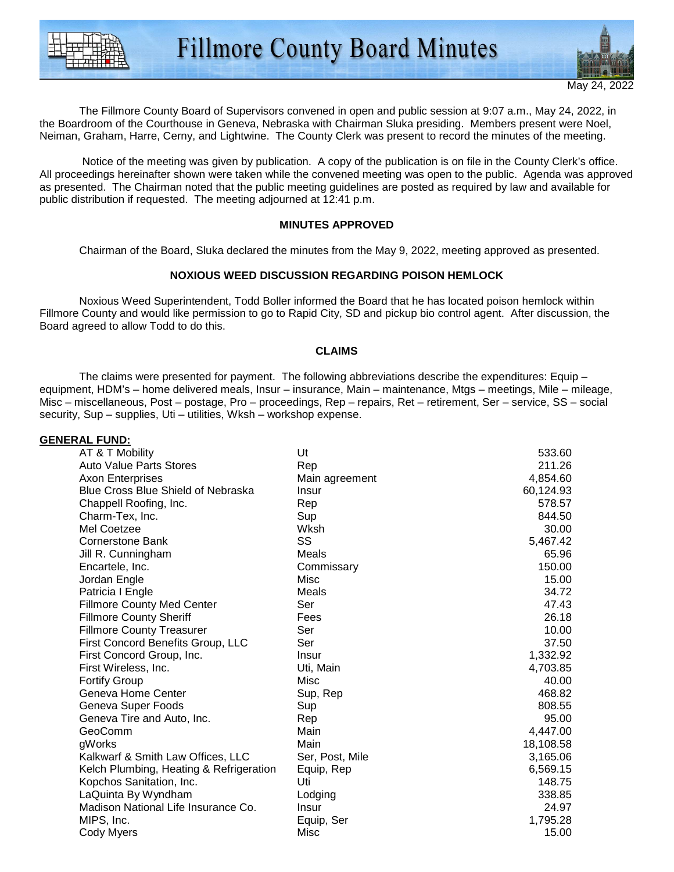



The Fillmore County Board of Supervisors convened in open and public session at 9:07 a.m., May 24, 2022, in the Boardroom of the Courthouse in Geneva, Nebraska with Chairman Sluka presiding. Members present were Noel, Neiman, Graham, Harre, Cerny, and Lightwine. The County Clerk was present to record the minutes of the meeting.

 Notice of the meeting was given by publication. A copy of the publication is on file in the County Clerk's office. All proceedings hereinafter shown were taken while the convened meeting was open to the public. Agenda was approved as presented. The Chairman noted that the public meeting guidelines are posted as required by law and available for public distribution if requested. The meeting adjourned at 12:41 p.m.

#### **MINUTES APPROVED**

Chairman of the Board, Sluka declared the minutes from the May 9, 2022, meeting approved as presented.

# **NOXIOUS WEED DISCUSSION REGARDING POISON HEMLOCK**

 Noxious Weed Superintendent, Todd Boller informed the Board that he has located poison hemlock within Fillmore County and would like permission to go to Rapid City, SD and pickup bio control agent. After discussion, the Board agreed to allow Todd to do this.

### **CLAIMS**

 The claims were presented for payment. The following abbreviations describe the expenditures: Equip – equipment, HDM's – home delivered meals, Insur – insurance, Main – maintenance, Mtgs – meetings, Mile – mileage, Misc – miscellaneous, Post – postage, Pro – proceedings, Rep – repairs, Ret – retirement, Ser – service, SS – social security, Sup – supplies, Uti – utilities, Wksh – workshop expense.

| <u>GENERAL FUND:</u>                      |                 |           |
|-------------------------------------------|-----------------|-----------|
| AT & T Mobility                           | Ut              | 533.60    |
| <b>Auto Value Parts Stores</b>            | Rep             | 211.26    |
| <b>Axon Enterprises</b>                   | Main agreement  | 4,854.60  |
| <b>Blue Cross Blue Shield of Nebraska</b> | Insur           | 60,124.93 |
| Chappell Roofing, Inc.                    | Rep             | 578.57    |
| Charm-Tex, Inc.                           | Sup             | 844.50    |
| Mel Coetzee                               | Wksh            | 30.00     |
| <b>Cornerstone Bank</b>                   | SS              | 5,467.42  |
| Jill R. Cunningham                        | Meals           | 65.96     |
| Encartele, Inc.                           | Commissary      | 150.00    |
| Jordan Engle                              | Misc            | 15.00     |
| Patricia I Engle                          | Meals           | 34.72     |
| <b>Fillmore County Med Center</b>         | Ser             | 47.43     |
| <b>Fillmore County Sheriff</b>            | Fees            | 26.18     |
| <b>Fillmore County Treasurer</b>          | Ser             | 10.00     |
| First Concord Benefits Group, LLC         | Ser             | 37.50     |
| First Concord Group, Inc.                 | <b>Insur</b>    | 1,332.92  |
| First Wireless, Inc.                      | Uti, Main       | 4,703.85  |
| <b>Fortify Group</b>                      | Misc            | 40.00     |
| Geneva Home Center                        | Sup, Rep        | 468.82    |
| Geneva Super Foods                        | Sup             | 808.55    |
| Geneva Tire and Auto, Inc.                | Rep             | 95.00     |
| GeoComm                                   | Main            | 4,447.00  |
| gWorks                                    | Main            | 18,108.58 |
| Kalkwarf & Smith Law Offices, LLC         | Ser, Post, Mile | 3,165.06  |
| Kelch Plumbing, Heating & Refrigeration   | Equip, Rep      | 6,569.15  |
| Kopchos Sanitation, Inc.                  | Uti             | 148.75    |
| LaQuinta By Wyndham                       | Lodging         | 338.85    |
| Madison National Life Insurance Co.       | Insur           | 24.97     |
| MIPS, Inc.                                | Equip, Ser      | 1,795.28  |
| Cody Myers                                | Misc            | 15.00     |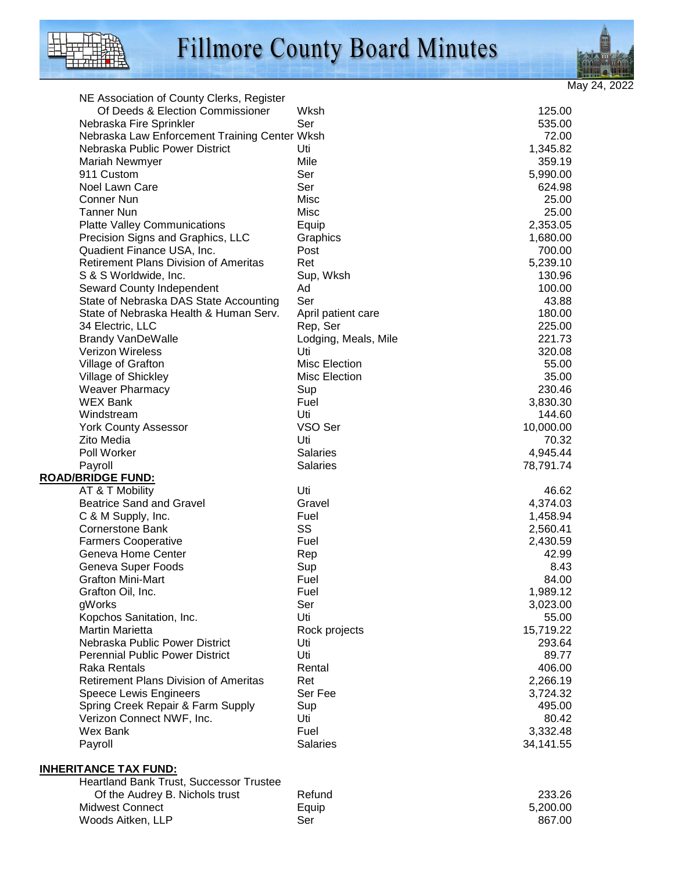

# Fillmore County Board Minutes



| NE Association of County Clerks, Register      |                      |           |
|------------------------------------------------|----------------------|-----------|
| Of Deeds & Election Commissioner               | Wksh                 | 125.00    |
| Nebraska Fire Sprinkler                        | Ser                  | 535.00    |
| Nebraska Law Enforcement Training Center Wksh  |                      | 72.00     |
| Nebraska Public Power District                 | Uti                  | 1,345.82  |
| Mariah Newmyer                                 | Mile                 | 359.19    |
| 911 Custom                                     | Ser                  | 5,990.00  |
| Noel Lawn Care                                 | Ser                  | 624.98    |
| Conner Nun                                     | Misc                 | 25.00     |
| <b>Tanner Nun</b>                              | Misc                 | 25.00     |
| <b>Platte Valley Communications</b>            | Equip                | 2,353.05  |
| Precision Signs and Graphics, LLC              | Graphics             | 1,680.00  |
| Quadient Finance USA, Inc.                     | Post                 | 700.00    |
| <b>Retirement Plans Division of Ameritas</b>   | Ret                  | 5,239.10  |
| S & S Worldwide, Inc.                          | Sup, Wksh            | 130.96    |
| Seward County Independent                      | Ad                   | 100.00    |
| State of Nebraska DAS State Accounting         | Ser                  | 43.88     |
| State of Nebraska Health & Human Serv.         | April patient care   | 180.00    |
| 34 Electric, LLC                               | Rep, Ser             | 225.00    |
| <b>Brandy VanDeWalle</b>                       | Lodging, Meals, Mile | 221.73    |
| Verizon Wireless                               | Uti                  | 320.08    |
| Village of Grafton                             | Misc Election        | 55.00     |
| <b>Village of Shickley</b>                     | <b>Misc Election</b> | 35.00     |
| <b>Weaver Pharmacy</b>                         | Sup                  | 230.46    |
| <b>WEX Bank</b>                                | Fuel                 | 3,830.30  |
| Windstream                                     | Uti                  | 144.60    |
| <b>York County Assessor</b>                    | VSO Ser              | 10,000.00 |
| Zito Media                                     | Uti                  | 70.32     |
| Poll Worker                                    | <b>Salaries</b>      | 4,945.44  |
| Payroll                                        | <b>Salaries</b>      | 78,791.74 |
| <b>ROAD/BRIDGE FUND:</b>                       |                      |           |
| AT & T Mobility                                | Uti                  | 46.62     |
| <b>Beatrice Sand and Gravel</b>                | Gravel               | 4,374.03  |
| C & M Supply, Inc.                             | Fuel                 | 1,458.94  |
| <b>Cornerstone Bank</b>                        | SS                   | 2,560.41  |
| <b>Farmers Cooperative</b>                     | Fuel                 | 2,430.59  |
| Geneva Home Center                             | Rep                  | 42.99     |
| Geneva Super Foods                             | Sup                  | 8.43      |
| <b>Grafton Mini-Mart</b>                       | Fuel                 | 84.00     |
| Grafton Oil, Inc.                              | Fuel                 | 1,989.12  |
| gWorks                                         | Ser                  | 3,023.00  |
| Kopchos Sanitation, Inc.                       | Uti                  | 55.00     |
| <b>Martin Marietta</b>                         | Rock projects        | 15,719.22 |
| Nebraska Public Power District                 | Uti                  | 293.64    |
| <b>Perennial Public Power District</b>         | Uti                  | 89.77     |
| <b>Raka Rentals</b>                            | Rental               | 406.00    |
| <b>Retirement Plans Division of Ameritas</b>   | Ret                  | 2,266.19  |
| Speece Lewis Engineers                         | Ser Fee              | 3,724.32  |
| Spring Creek Repair & Farm Supply              | Sup                  | 495.00    |
| Verizon Connect NWF, Inc.                      | Uti                  | 80.42     |
| Wex Bank                                       | Fuel                 | 3,332.48  |
| Payroll                                        | Salaries             | 34,141.55 |
|                                                |                      |           |
| <b>INHERITANCE TAX FUND:</b>                   |                      |           |
| <b>Heartland Bank Trust, Successor Trustee</b> |                      |           |
| $\bigcap_{i=1}^{n}$                            | $D$ afuna            | റററ റമ    |

| Of the Audrey B. Nichols trust | Refund | 233.26   |
|--------------------------------|--------|----------|
| Midwest Connect                | Equip  | 5.200.00 |
| Woods Aitken, LLP              | Ser    | 867.00   |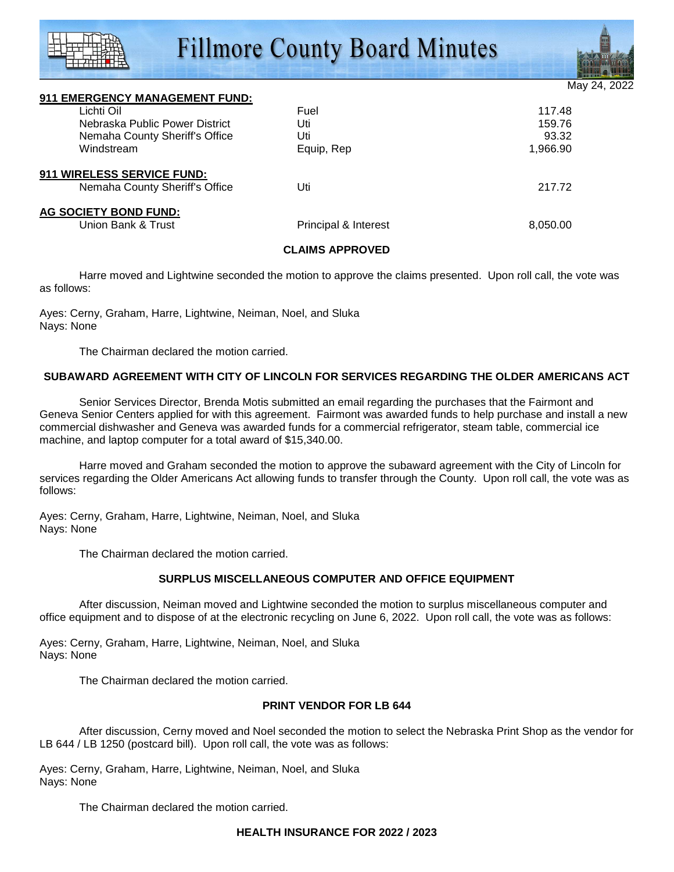# **Fillmore County Board Minutes**



May 24

| 911 EMERGENCY MANAGEMENT FUND: |                      |          |
|--------------------------------|----------------------|----------|
| Lichti Oil                     | Fuel                 | 117.48   |
| Nebraska Public Power District | Uti                  | 159.76   |
| Nemaha County Sheriff's Office | Uti                  | 93.32    |
| Windstream                     | Equip, Rep           | 1,966.90 |
| 911 WIRELESS SERVICE FUND:     |                      |          |
| Nemaha County Sheriff's Office | Uti                  | 217.72   |
| AG SOCIETY BOND FUND:          |                      |          |
| Union Bank & Trust             | Principal & Interest | 8,050.00 |
|                                |                      |          |

#### **CLAIMS APPROVED**

Harre moved and Lightwine seconded the motion to approve the claims presented. Upon roll call, the vote was as follows:

Ayes: Cerny, Graham, Harre, Lightwine, Neiman, Noel, and Sluka Nays: None

The Chairman declared the motion carried.

#### **SUBAWARD AGREEMENT WITH CITY OF LINCOLN FOR SERVICES REGARDING THE OLDER AMERICANS ACT**

 Senior Services Director, Brenda Motis submitted an email regarding the purchases that the Fairmont and Geneva Senior Centers applied for with this agreement. Fairmont was awarded funds to help purchase and install a new commercial dishwasher and Geneva was awarded funds for a commercial refrigerator, steam table, commercial ice machine, and laptop computer for a total award of \$15,340.00.

 Harre moved and Graham seconded the motion to approve the subaward agreement with the City of Lincoln for services regarding the Older Americans Act allowing funds to transfer through the County. Upon roll call, the vote was as follows:

Ayes: Cerny, Graham, Harre, Lightwine, Neiman, Noel, and Sluka Nays: None

The Chairman declared the motion carried.

#### **SURPLUS MISCELLANEOUS COMPUTER AND OFFICE EQUIPMENT**

 After discussion, Neiman moved and Lightwine seconded the motion to surplus miscellaneous computer and office equipment and to dispose of at the electronic recycling on June 6, 2022. Upon roll call, the vote was as follows:

Ayes: Cerny, Graham, Harre, Lightwine, Neiman, Noel, and Sluka Nays: None

The Chairman declared the motion carried.

#### **PRINT VENDOR FOR LB 644**

 After discussion, Cerny moved and Noel seconded the motion to select the Nebraska Print Shop as the vendor for LB 644 / LB 1250 (postcard bill). Upon roll call, the vote was as follows:

Ayes: Cerny, Graham, Harre, Lightwine, Neiman, Noel, and Sluka Nays: None

The Chairman declared the motion carried.

#### **HEALTH INSURANCE FOR 2022 / 2023**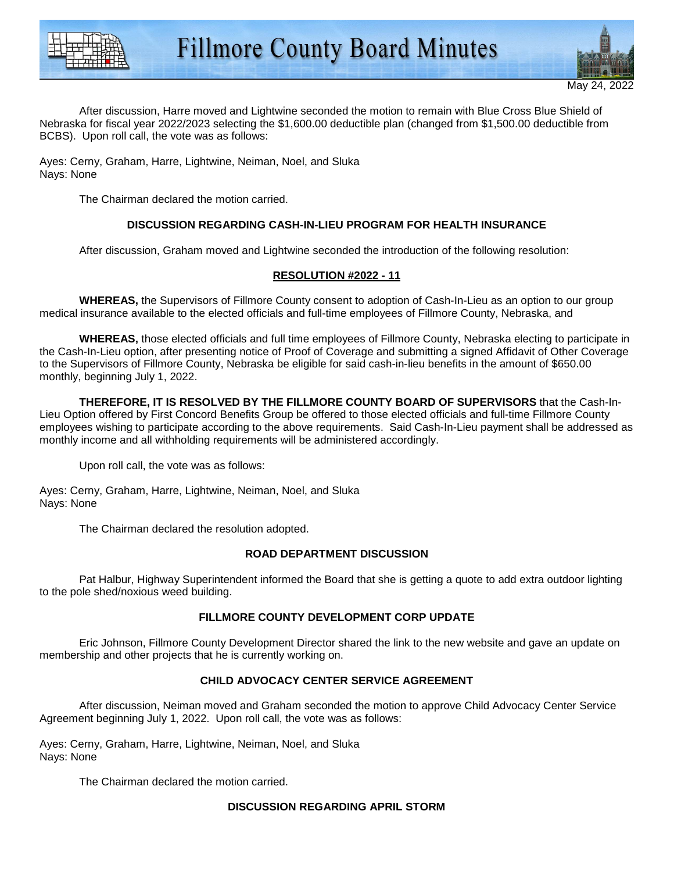



 After discussion, Harre moved and Lightwine seconded the motion to remain with Blue Cross Blue Shield of Nebraska for fiscal year 2022/2023 selecting the \$1,600.00 deductible plan (changed from \$1,500.00 deductible from BCBS). Upon roll call, the vote was as follows:

Ayes: Cerny, Graham, Harre, Lightwine, Neiman, Noel, and Sluka Nays: None

The Chairman declared the motion carried.

# **DISCUSSION REGARDING CASH-IN-LIEU PROGRAM FOR HEALTH INSURANCE**

After discussion, Graham moved and Lightwine seconded the introduction of the following resolution:

# **RESOLUTION #2022 - 11**

**WHEREAS,** the Supervisors of Fillmore County consent to adoption of Cash-In-Lieu as an option to our group medical insurance available to the elected officials and full-time employees of Fillmore County, Nebraska, and

**WHEREAS,** those elected officials and full time employees of Fillmore County, Nebraska electing to participate in the Cash-In-Lieu option, after presenting notice of Proof of Coverage and submitting a signed Affidavit of Other Coverage to the Supervisors of Fillmore County, Nebraska be eligible for said cash-in-lieu benefits in the amount of \$650.00 monthly, beginning July 1, 2022.

**THEREFORE, IT IS RESOLVED BY THE FILLMORE COUNTY BOARD OF SUPERVISORS** that the Cash-In-Lieu Option offered by First Concord Benefits Group be offered to those elected officials and full-time Fillmore County employees wishing to participate according to the above requirements. Said Cash-In-Lieu payment shall be addressed as monthly income and all withholding requirements will be administered accordingly.

Upon roll call, the vote was as follows:

Ayes: Cerny, Graham, Harre, Lightwine, Neiman, Noel, and Sluka Nays: None

The Chairman declared the resolution adopted.

# **ROAD DEPARTMENT DISCUSSION**

 Pat Halbur, Highway Superintendent informed the Board that she is getting a quote to add extra outdoor lighting to the pole shed/noxious weed building.

# **FILLMORE COUNTY DEVELOPMENT CORP UPDATE**

 Eric Johnson, Fillmore County Development Director shared the link to the new website and gave an update on membership and other projects that he is currently working on.

# **CHILD ADVOCACY CENTER SERVICE AGREEMENT**

 After discussion, Neiman moved and Graham seconded the motion to approve Child Advocacy Center Service Agreement beginning July 1, 2022. Upon roll call, the vote was as follows:

Ayes: Cerny, Graham, Harre, Lightwine, Neiman, Noel, and Sluka Nays: None

The Chairman declared the motion carried.

# **DISCUSSION REGARDING APRIL STORM**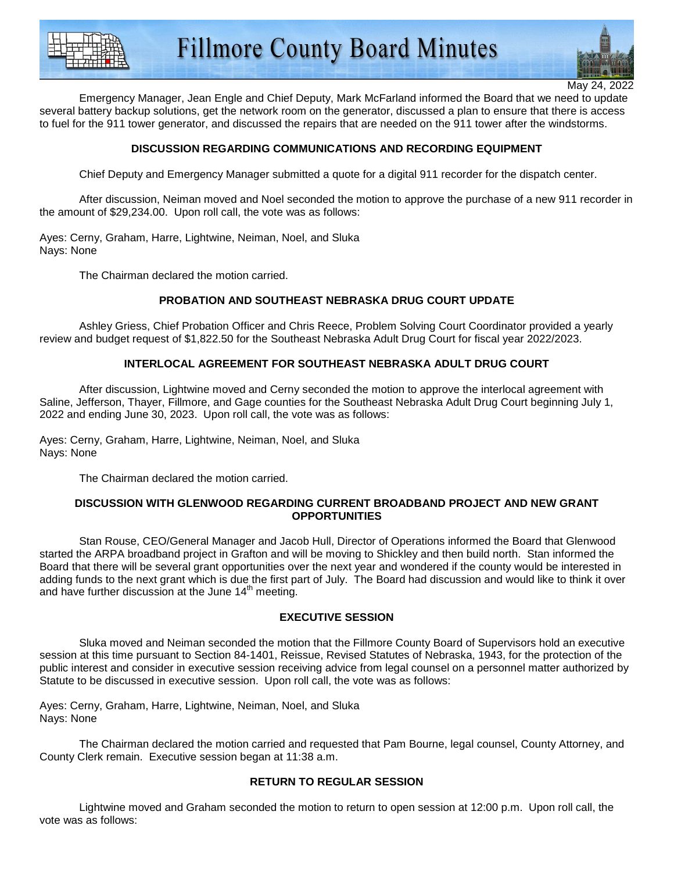



May 24,

 Emergency Manager, Jean Engle and Chief Deputy, Mark McFarland informed the Board that we need to update several battery backup solutions, get the network room on the generator, discussed a plan to ensure that there is access to fuel for the 911 tower generator, and discussed the repairs that are needed on the 911 tower after the windstorms.

# **DISCUSSION REGARDING COMMUNICATIONS AND RECORDING EQUIPMENT**

Chief Deputy and Emergency Manager submitted a quote for a digital 911 recorder for the dispatch center.

 After discussion, Neiman moved and Noel seconded the motion to approve the purchase of a new 911 recorder in the amount of \$29,234.00. Upon roll call, the vote was as follows:

Ayes: Cerny, Graham, Harre, Lightwine, Neiman, Noel, and Sluka Nays: None

The Chairman declared the motion carried.

#### **PROBATION AND SOUTHEAST NEBRASKA DRUG COURT UPDATE**

 Ashley Griess, Chief Probation Officer and Chris Reece, Problem Solving Court Coordinator provided a yearly review and budget request of \$1,822.50 for the Southeast Nebraska Adult Drug Court for fiscal year 2022/2023.

# **INTERLOCAL AGREEMENT FOR SOUTHEAST NEBRASKA ADULT DRUG COURT**

 After discussion, Lightwine moved and Cerny seconded the motion to approve the interlocal agreement with Saline, Jefferson, Thayer, Fillmore, and Gage counties for the Southeast Nebraska Adult Drug Court beginning July 1, 2022 and ending June 30, 2023. Upon roll call, the vote was as follows:

Ayes: Cerny, Graham, Harre, Lightwine, Neiman, Noel, and Sluka Nays: None

The Chairman declared the motion carried.

#### **DISCUSSION WITH GLENWOOD REGARDING CURRENT BROADBAND PROJECT AND NEW GRANT OPPORTUNITIES**

 Stan Rouse, CEO/General Manager and Jacob Hull, Director of Operations informed the Board that Glenwood started the ARPA broadband project in Grafton and will be moving to Shickley and then build north. Stan informed the Board that there will be several grant opportunities over the next year and wondered if the county would be interested in adding funds to the next grant which is due the first part of July. The Board had discussion and would like to think it over and have further discussion at the June  $14<sup>th</sup>$  meeting.

#### **EXECUTIVE SESSION**

 Sluka moved and Neiman seconded the motion that the Fillmore County Board of Supervisors hold an executive session at this time pursuant to Section 84-1401, Reissue, Revised Statutes of Nebraska, 1943, for the protection of the public interest and consider in executive session receiving advice from legal counsel on a personnel matter authorized by Statute to be discussed in executive session. Upon roll call, the vote was as follows:

Ayes: Cerny, Graham, Harre, Lightwine, Neiman, Noel, and Sluka Nays: None

 The Chairman declared the motion carried and requested that Pam Bourne, legal counsel, County Attorney, and County Clerk remain. Executive session began at 11:38 a.m.

#### **RETURN TO REGULAR SESSION**

 Lightwine moved and Graham seconded the motion to return to open session at 12:00 p.m. Upon roll call, the vote was as follows: